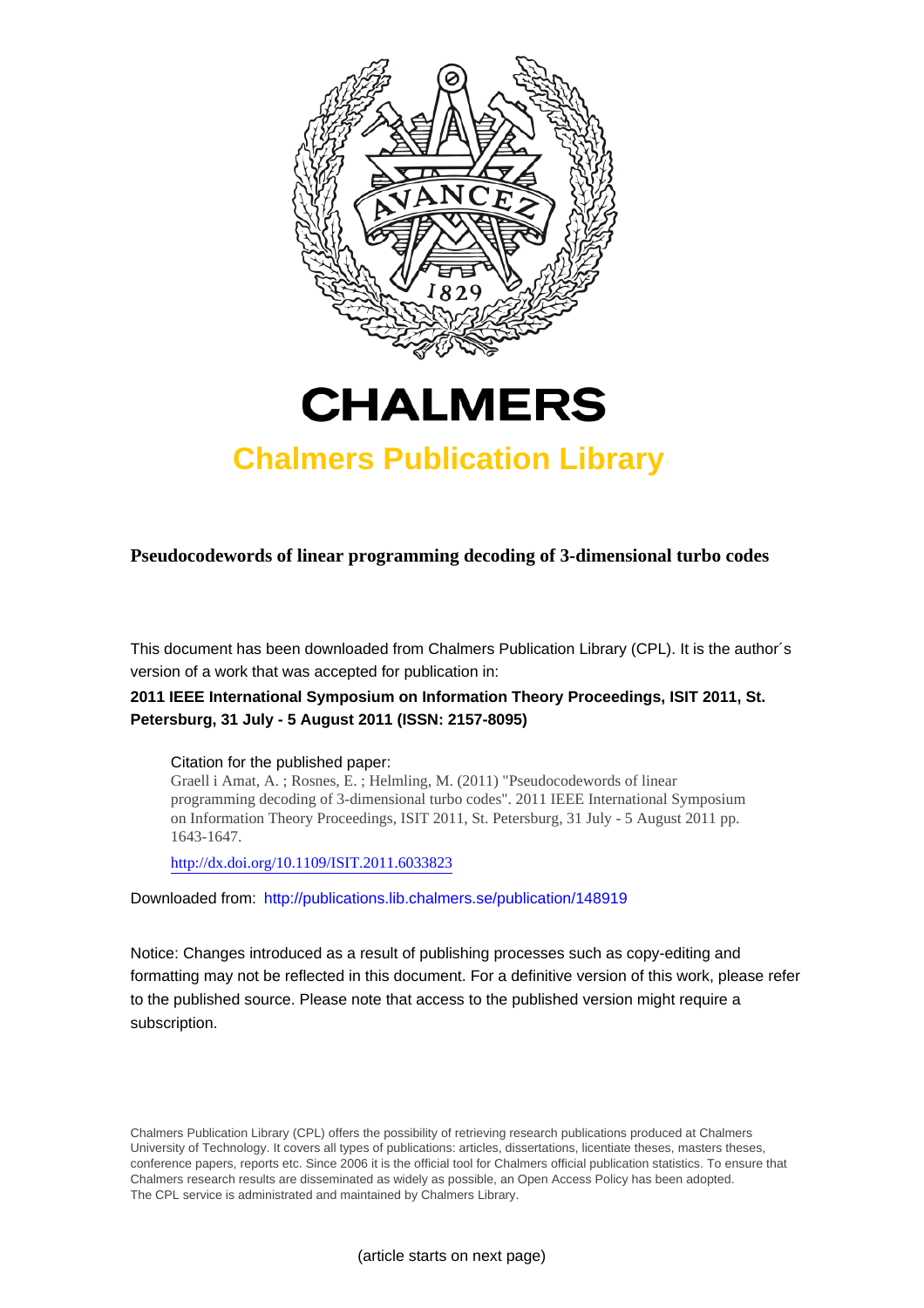



# **Chalmers Publication Library**

**Pseudocodewords of linear programming decoding of 3-dimensional turbo codes**

This document has been downloaded from Chalmers Publication Library (CPL). It is the author´s version of a work that was accepted for publication in:

## **2011 IEEE International Symposium on Information Theory Proceedings, ISIT 2011, St. Petersburg, 31 July - 5 August 2011 (ISSN: 2157-8095)**

#### Citation for the published paper:

Graell i Amat, A. ; Rosnes, E. ; Helmling, M. (2011) "Pseudocodewords of linear programming decoding of 3-dimensional turbo codes". 2011 IEEE International Symposium on Information Theory Proceedings, ISIT 2011, St. Petersburg, 31 July - 5 August 2011 pp. 1643-1647.

<http://dx.doi.org/10.1109/ISIT.2011.6033823>

Downloaded from: <http://publications.lib.chalmers.se/publication/148919>

Notice: Changes introduced as a result of publishing processes such as copy-editing and formatting may not be reflected in this document. For a definitive version of this work, please refer to the published source. Please note that access to the published version might require a subscription.

Chalmers Publication Library (CPL) offers the possibility of retrieving research publications produced at Chalmers University of Technology. It covers all types of publications: articles, dissertations, licentiate theses, masters theses, conference papers, reports etc. Since 2006 it is the official tool for Chalmers official publication statistics. To ensure that Chalmers research results are disseminated as widely as possible, an Open Access Policy has been adopted. The CPL service is administrated and maintained by Chalmers Library.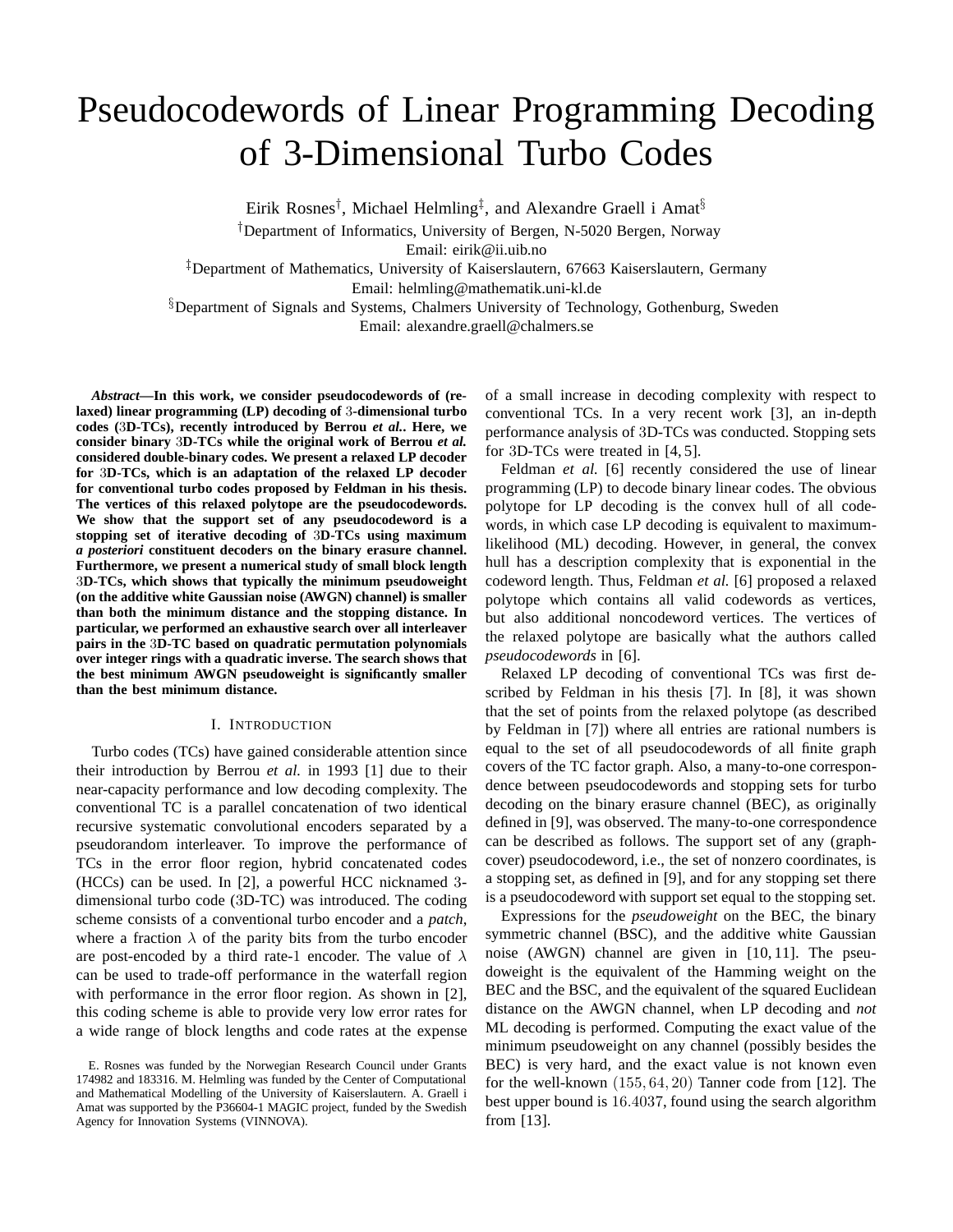# Pseudocodewords of Linear Programming Decoding of 3-Dimensional Turbo Codes

Eirik Rosnes<sup>†</sup>, Michael Helmling<sup>‡</sup>, and Alexandre Graell i Amat<sup>§</sup> †Department of Informatics, University of Bergen, N-5020 Bergen, Norway

Email: eirik@ii.uib.no

‡Department of Mathematics, University of Kaiserslautern, 67663 Kaiserslautern, Germany Email: helmling@mathematik.uni-kl.de

§Department of Signals and Systems, Chalmers University of Technology, Gothenburg, Sweden Email: alexandre.graell@chalmers.se

*Abstract***—In this work, we consider pseudocodewords of (relaxed) linear programming (LP) decoding of** 3**-dimensional turbo codes (**3**D-TCs), recently introduced by Berrou** *et al.***. Here, we consider binary** 3**D-TCs while the original work of Berrou** *et al.* **considered double-binary codes. We present a relaxed LP decoder for** 3**D-TCs, which is an adaptation of the relaxed LP decoder for conventional turbo codes proposed by Feldman in his thesis. The vertices of this relaxed polytope are the pseudocodewords. We show that the support set of any pseudocodeword is a stopping set of iterative decoding of** 3**D-TCs using maximum** *a posteriori* **constituent decoders on the binary erasure channel. Furthermore, we present a numerical study of small block length** 3**D-TCs, which shows that typically the minimum pseudoweight (on the additive white Gaussian noise (AWGN) channel) is smaller than both the minimum distance and the stopping distance. In particular, we performed an exhaustive search over all interleaver pairs in the** 3**D-TC based on quadratic permutation polynomials over integer rings with a quadratic inverse. The search shows that the best minimum AWGN pseudoweight is significantly smaller than the best minimum distance.**

#### I. INTRODUCTION

Turbo codes (TCs) have gained considerable attention since their introduction by Berrou *et al.* in 1993 [1] due to their near-capacity performance and low decoding complexity. The conventional TC is a parallel concatenation of two identical recursive systematic convolutional encoders separated by a pseudorandom interleaver. To improve the performance of TCs in the error floor region, hybrid concatenated codes (HCCs) can be used. In [2], a powerful HCC nicknamed 3 dimensional turbo code (3D-TC) was introduced. The coding scheme consists of a conventional turbo encoder and a *patch*, where a fraction  $\lambda$  of the parity bits from the turbo encoder are post-encoded by a third rate-1 encoder. The value of  $\lambda$ can be used to trade-off performance in the waterfall region with performance in the error floor region. As shown in [2], this coding scheme is able to provide very low error rates for a wide range of block lengths and code rates at the expense of a small increase in decoding complexity with respect to conventional TCs. In a very recent work [3], an in-depth performance analysis of 3D-TCs was conducted. Stopping sets for 3D-TCs were treated in [4, 5].

Feldman *et al.* [6] recently considered the use of linear programming (LP) to decode binary linear codes. The obvious polytope for LP decoding is the convex hull of all codewords, in which case LP decoding is equivalent to maximumlikelihood (ML) decoding. However, in general, the convex hull has a description complexity that is exponential in the codeword length. Thus, Feldman *et al.* [6] proposed a relaxed polytope which contains all valid codewords as vertices, but also additional noncodeword vertices. The vertices of the relaxed polytope are basically what the authors called *pseudocodewords* in [6].

Relaxed LP decoding of conventional TCs was first described by Feldman in his thesis [7]. In [8], it was shown that the set of points from the relaxed polytope (as described by Feldman in [7]) where all entries are rational numbers is equal to the set of all pseudocodewords of all finite graph covers of the TC factor graph. Also, a many-to-one correspondence between pseudocodewords and stopping sets for turbo decoding on the binary erasure channel (BEC), as originally defined in [9], was observed. The many-to-one correspondence can be described as follows. The support set of any (graphcover) pseudocodeword, i.e., the set of nonzero coordinates, is a stopping set, as defined in [9], and for any stopping set there is a pseudocodeword with support set equal to the stopping set.

Expressions for the *pseudoweight* on the BEC, the binary symmetric channel (BSC), and the additive white Gaussian noise (AWGN) channel are given in [10, 11]. The pseudoweight is the equivalent of the Hamming weight on the BEC and the BSC, and the equivalent of the squared Euclidean distance on the AWGN channel, when LP decoding and *not* ML decoding is performed. Computing the exact value of the minimum pseudoweight on any channel (possibly besides the BEC) is very hard, and the exact value is not known even for the well-known (155, 64, 20) Tanner code from [12]. The best upper bound is 16.4037, found using the search algorithm from [13].

E. Rosnes was funded by the Norwegian Research Council under Grants 174982 and 183316. M. Helmling was funded by the Center of Computational and Mathematical Modelling of the University of Kaiserslautern. A. Graell i Amat was supported by the P36604-1 MAGIC project, funded by the Swedish Agency for Innovation Systems (VINNOVA).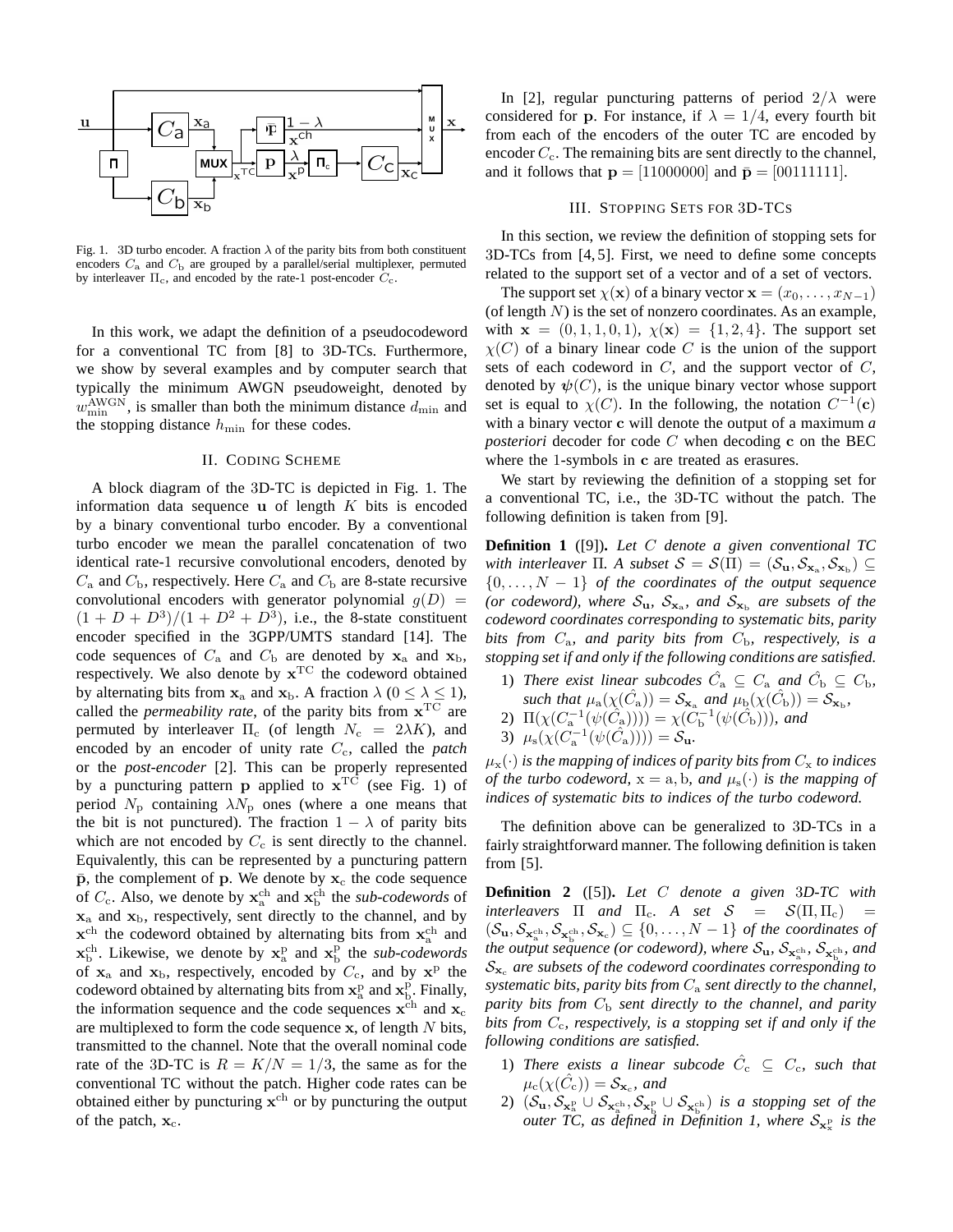

Fig. 1. 3D turbo encoder. A fraction  $\lambda$  of the parity bits from both constituent encoders  $C_a$  and  $C_b$  are grouped by a parallel/serial multiplexer, permuted by interleaver  $\Pi_c$ , and encoded by the rate-1 post-encoder  $C_c$ .

In this work, we adapt the definition of a pseudocodeword for a conventional TC from [8] to 3D-TCs. Furthermore, we show by several examples and by computer search that typically the minimum AWGN pseudoweight, denoted by  $w_{\min}^{\text{AWGN}}$ , is smaller than both the minimum distance  $d_{\min}$  and the stopping distance  $h_{\min}$  for these codes.

#### II. CODING SCHEME

A block diagram of the 3D-TC is depicted in Fig. 1. The information data sequence  $\bf{u}$  of length K bits is encoded by a binary conventional turbo encoder. By a conventional turbo encoder we mean the parallel concatenation of two identical rate-1 recursive convolutional encoders, denoted by  $C_a$  and  $C_b$ , respectively. Here  $C_a$  and  $C_b$  are 8-state recursive convolutional encoders with generator polynomial  $g(D)$  =  $(1 + D + D^3)/(1 + D^2 + D^3)$ , i.e., the 8-state constituent encoder specified in the 3GPP/UMTS standard [14]. The code sequences of  $C_a$  and  $C_b$  are denoted by  $x_a$  and  $x_b$ , respectively. We also denote by  $x^{TC}$  the codeword obtained by alternating bits from  $x_a$  and  $x_b$ . A fraction  $\lambda$  ( $0 \le \lambda \le 1$ ), called the *permeability rate*, of the parity bits from  $x^{\text{TC}}$  are permuted by interleaver  $\Pi_c$  (of length  $N_c = 2\lambda K$ ), and encoded by an encoder of unity rate  $C_c$ , called the *patch* or the *post-encoder* [2]. This can be properly represented by a puncturing pattern **p** applied to  $x^{TC}$  (see Fig. 1) of period  $N_{\rm p}$  containing  $\lambda N_{\rm p}$  ones (where a one means that the bit is not punctured). The fraction  $1 - \lambda$  of parity bits which are not encoded by  $C_c$  is sent directly to the channel. Equivalently, this can be represented by a puncturing pattern  $\bar{p}$ , the complement of p. We denote by  $x_c$  the code sequence of  $C_c$ . Also, we denote by  $\mathbf{x}_a^{\text{ch}}$  and  $\mathbf{x}_b^{\text{ch}}$  the *sub-codewords* of  $x_a$  and  $x_b$ , respectively, sent directly to the channel, and by  $\mathbf{x}^{\text{ch}}$  the codeword obtained by alternating bits from  $\mathbf{x}_{\text{a}}^{\text{ch}}$  and  $\mathbf{x}_{\mathrm{b}}^{\mathrm{ch}}$ . Likewise, we denote by  $\mathbf{x}_{\mathrm{a}}^{\mathrm{p}}$  and  $\mathbf{x}_{\mathrm{b}}^{\mathrm{p}}$  the *sub-codewords* of  $x_a$  and  $x_b$ , respectively, encoded by  $C_c$ , and by  $x^p$  the codeword obtained by alternating bits from  $\mathbf{x}_{a}^{p}$  and  $\mathbf{x}_{b}^{p}$ . Finally, the information sequence and the code sequences  $x^{ch}$  and  $x_c$ are multiplexed to form the code sequence  $x$ , of length  $N$  bits, transmitted to the channel. Note that the overall nominal code rate of the 3D-TC is  $R = K/N = 1/3$ , the same as for the conventional TC without the patch. Higher code rates can be obtained either by puncturing  $x^{ch}$  or by puncturing the output of the patch,  $x_c$ .

In [2], regular puncturing patterns of period  $2/\lambda$  were considered for p. For instance, if  $\lambda = 1/4$ , every fourth bit from each of the encoders of the outer TC are encoded by encoder  $C_c$ . The remaining bits are sent directly to the channel, and it follows that  $p = [11000000]$  and  $\bar{p} = [00111111]$ .

#### III. STOPPING SETS FOR 3D-TCS

In this section, we review the definition of stopping sets for 3D-TCs from [4, 5]. First, we need to define some concepts related to the support set of a vector and of a set of vectors.

The support set  $\chi(\mathbf{x})$  of a binary vector  $\mathbf{x} = (x_0, \dots, x_{N-1})$ (of length  $N$ ) is the set of nonzero coordinates. As an example, with  $x = (0, 1, 1, 0, 1), \chi(x) = \{1, 2, 4\}.$  The support set  $\chi(C)$  of a binary linear code C is the union of the support sets of each codeword in  $C$ , and the support vector of  $C$ , denoted by  $\psi(C)$ , is the unique binary vector whose support set is equal to  $\chi(C)$ . In the following, the notation  $C^{-1}(c)$ with a binary vector c will denote the output of a maximum *a posteriori* decoder for code C when decoding c on the BEC where the 1-symbols in c are treated as erasures.

We start by reviewing the definition of a stopping set for a conventional TC, i.e., the 3D-TC without the patch. The following definition is taken from [9].

**Definition 1** ([9])**.** *Let* C *denote a given conventional TC* with interleaver  $\Pi$ . A subset  $\mathcal{S} = \mathcal{S}(\Pi) = (\mathcal{S}_{\mathbf{u}}, \mathcal{S}_{\mathbf{x}_a}, \mathcal{S}_{\mathbf{x}_b}) \subseteq$  $\{0, \ldots, N-1\}$  *of the coordinates of the output sequence* (or codeword), where  $S_{\mathbf{u}}$ ,  $S_{\mathbf{x}_a}$ , and  $S_{\mathbf{x}_b}$  are subsets of the *codeword coordinates corresponding to systematic bits, parity bits from*  $C_a$ *, and parity bits from*  $C_b$ *, respectively, is a stopping set if and only if the following conditions are satisfied.*

1) *There exist linear subcodes*  $\hat{C}_a \subseteq C_a$  *and*  $\hat{C}_b \subseteq C_b$ , *such that*  $\mu_a(\chi(\hat{C}_a)) = S_{\mathbf{x}_a}$  *and*  $\mu_b(\chi(\hat{C}_b)) = S_{\mathbf{x}_b}$ , 2)  $\Pi(\chi(C_a^{-1}(\psi(\hat{C}_a)))) = \chi(\tilde{C}_b^{-1}(\psi(\hat{C}_b)))$ *, and* 3)  $\mu_s(\chi(C_a^{-1}(\psi(\hat{C}_a)))) = \mathcal{S}_u$ .

 $\mu_{\mathbf{x}}(\cdot)$  *is the mapping of indices of parity bits from*  $C_{\mathbf{x}}$  *to indices of the turbo codeword,*  $x = a, b$ *, and*  $\mu_s(\cdot)$  *is the mapping of indices of systematic bits to indices of the turbo codeword.*

The definition above can be generalized to 3D-TCs in a fairly straightforward manner. The following definition is taken from [5].

**Definition 2** ([5])**.** *Let* C *denote a given* 3*D-TC with interleavers*  $\Pi$  *and*  $\Pi_c$ . A set  $S = S(\Pi, \Pi_c)$  =  $(\mathcal{S}_{\mathbf{u}},\mathcal{S}_{\mathbf{x}_a^{\text{ch}}},\mathcal{S}_{\mathbf{x}_c})\subseteq\{0,\ldots,N-1\}$  of the coordinates of the output sequence (or codeword), where  $S_u$ ,  $S_{\mathbf{x}_{a}^{ch}}$ ,  $S_{\mathbf{x}_{b}^{ch}}$ , and  $S_{\mathbf{x}_{c}}$  are subsets of the codeword coordinates corresponding to  $systematic bits, parity bits from  $C_a$  *sent directly to the channel,*$ *parity bits from*  $C_b$  *sent directly to the channel, and parity bits from* Cc*, respectively, is a stopping set if and only if the following conditions are satisfied.*

- 1) There exists a linear subcode  $\hat{C}_c \subseteq C_c$ , such that  $\mu_{\rm c}(\chi(\hat{C}_{\rm c})) = \mathcal{S}_{\mathbf{x}_{\rm c}}$ , and
- 2)  $(S_{\mathbf{u}}, S_{\mathbf{x}_{\alpha}^{\mathrm{p}}} \cup S_{\mathbf{x}_{\alpha}^{\mathrm{ch}}}, S_{\mathbf{x}_{\alpha}^{\mathrm{p}}} \cup S_{\mathbf{x}_{\alpha}^{\mathrm{ch}}})$  is a stopping set of the *outer TC, as defined in Definition 1, where*  $\mathcal{S}_{\mathbf{x}_{\mathrm{x}}^{\mathrm{p}}}$  *is the*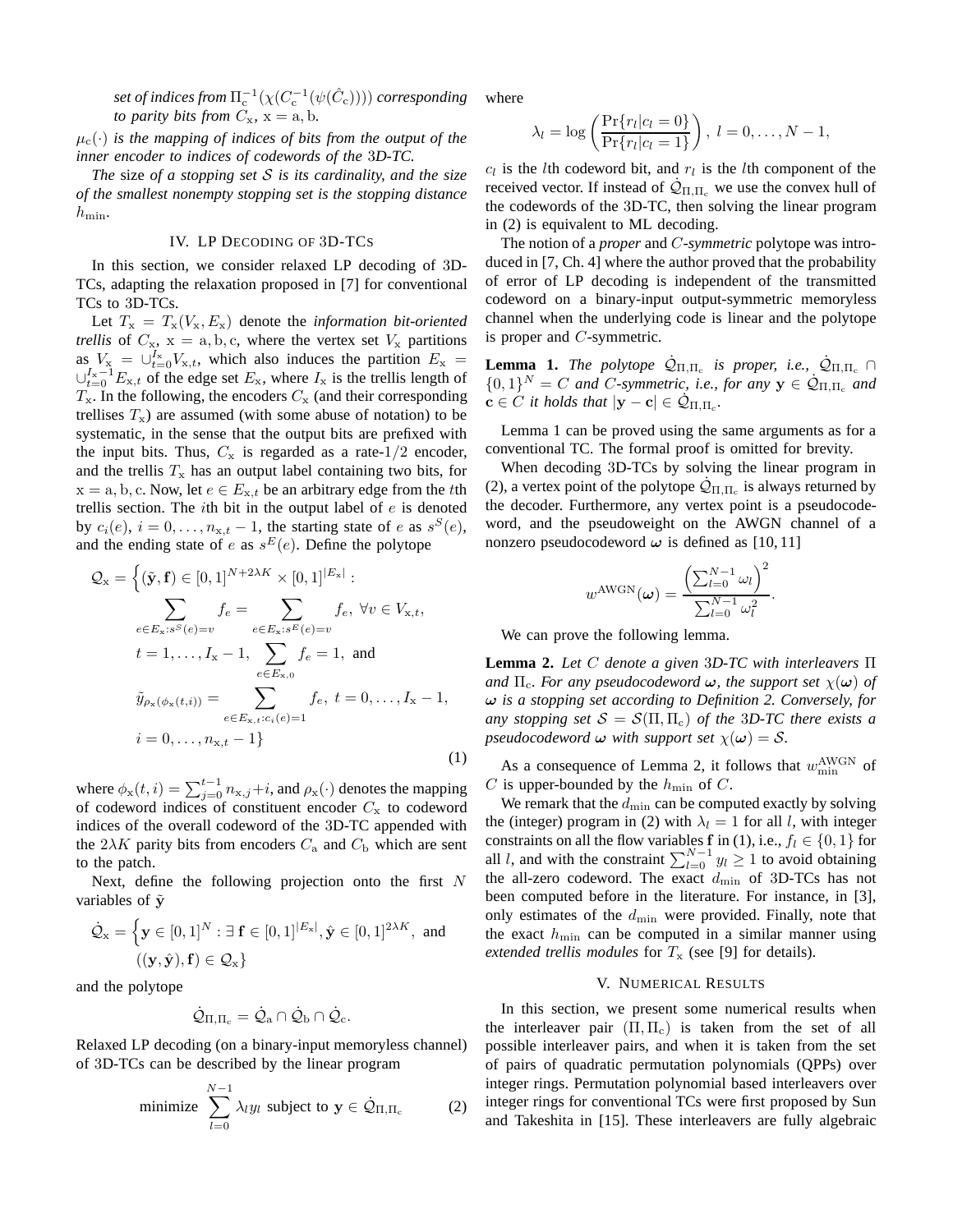$\mathfrak{set}$  of indices from  $\Pi^{-1}_{\operatorname{c}}(\chi(C^{-1}_{\operatorname{c}}(\psi(\hat{C}_{\operatorname{c}}))))$  corresponding *to parity bits from*  $C_x$ ,  $x = a$ , b.

 $\mu_c(\cdot)$  *is the mapping of indices of bits from the output of the inner encoder to indices of codewords of the* 3*D-TC.*

*The* size *of a stopping set* S *is its cardinality, and the size of the smallest nonempty stopping set is the stopping distance*  $h_{\min}$ .

#### IV. LP DECODING OF 3D-TCS

In this section, we consider relaxed LP decoding of 3D-TCs, adapting the relaxation proposed in [7] for conventional TCs to 3D-TCs.

Let  $T_x = T_x(V_x, E_x)$  denote the *information bit-oriented trellis* of  $C_x$ ,  $x = a, b, c$ , where the vertex set  $V_x$  partitions as  $V_{\rm x} = \bigcup_{t=0}^{I_{\rm x}} V_{\rm x,t}$ , which also induces the partition  $E_{\rm x}$  =  $\cup_{t=0}^{I_{\rm x}-1} E_{{\rm x},t}$  of the edge set  $E_{\rm x}$ , where  $I_{\rm x}$  is the trellis length of  $T_{\rm x}$ . In the following, the encoders  $C_{\rm x}$  (and their corresponding trellises  $T_x$ ) are assumed (with some abuse of notation) to be systematic, in the sense that the output bits are prefixed with the input bits. Thus,  $C_x$  is regarded as a rate-1/2 encoder, and the trellis  $T_x$  has an output label containing two bits, for  $x = a, b, c$ . Now, let  $e \in E_{x,t}$  be an arbitrary edge from the tth trellis section. The *i*th bit in the output label of  $e$  is denoted by  $c_i(e)$ ,  $i = 0, \dots, n_{x,t} - 1$ , the starting state of e as  $s^S(e)$ , and the ending state of e as  $s^E(e)$ . Define the polytope

$$
Q_{x} = \left\{ (\tilde{y}, f) \in [0, 1]^{N+2\lambda K} \times [0, 1]^{E_{x}} : \sum_{e \in E_{x}: s^{S}(e)=v} f_{e} = \sum_{e \in E_{x}: s^{E}(e)=v} f_{e}, \forall v \in V_{x,t}, t = 1, ..., I_{x} - 1, \sum_{e \in E_{x,0}} f_{e} = 1, \text{ and} \tilde{y}_{\rho_{x}(\phi_{x}(t,i))} = \sum_{e \in E_{x,t}: c_{i}(e)=1} f_{e}, t = 0, ..., I_{x} - 1, i = 0, ..., n_{x,t} - 1 \right\}
$$
\n(1)

where  $\phi_x(t, i) = \sum_{j=0}^{t-1} n_{x,j} + i$ , and  $\rho_x(\cdot)$  denotes the mapping of codeword indices of constituent encoder  $C_x$  to codeword indices of the overall codeword of the 3D-TC appended with the  $2\lambda K$  parity bits from encoders  $C_a$  and  $C_b$  which are sent to the patch.

Next, define the following projection onto the first  $N$ variables of  $\tilde{y}$ 

$$
\dot{\mathcal{Q}}_{\mathbf{x}} = \left\{ \mathbf{y} \in [0,1]^N : \exists \mathbf{f} \in [0,1]^{|E_{\mathbf{x}}|}, \hat{\mathbf{y}} \in [0,1]^{2\lambda K}, \text{ and } \left( (\mathbf{y}, \hat{\mathbf{y}}), \mathbf{f} \right) \in \mathcal{Q}_{\mathbf{x}} \right\}
$$

and the polytope

$$
\dot{\mathcal{Q}}_{\Pi,\Pi_c}=\dot{\mathcal{Q}}_a\cap\dot{\mathcal{Q}}_b\cap\dot{\mathcal{Q}}_c.
$$

Relaxed LP decoding (on a binary-input memoryless channel) of 3D-TCs can be described by the linear program

minimize 
$$
\sum_{l=0}^{N-1} \lambda_l y_l
$$
 subject to  $\mathbf{y} \in \dot{\mathcal{Q}}_{\Pi, \Pi_c}$  (2)

where

$$
\lambda_l = \log\left(\frac{\Pr\{r_l|c_l=0\}}{\Pr\{r_l|c_l=1\}}\right), l = 0,\ldots,N-1,
$$

 $c_l$  is the *l*th codeword bit, and  $r_l$  is the *l*th component of the received vector. If instead of  $\dot{Q}_{\Pi,\Pi_c}$  we use the convex hull of the codewords of the 3D-TC, then solving the linear program in (2) is equivalent to ML decoding.

The notion of a *proper* and C*-symmetric* polytope was introduced in [7, Ch. 4] where the author proved that the probability of error of LP decoding is independent of the transmitted codeword on a binary-input output-symmetric memoryless channel when the underlying code is linear and the polytope is proper and C-symmetric.

**Lemma 1.** *The polytope*  $\dot{\mathcal{Q}}_{\Pi,\Pi_c}$  *is proper, i.e.,*  $\dot{\mathcal{Q}}_{\Pi,\Pi_c} \cap$  ${0, 1}^N = C$  *and* C-symmetric, i.e., for any  $y \in \dot{Q}_{\Pi, \Pi_c}$  and  $\mathbf{c} \in \hat{C}$  *it holds that*  $|\mathbf{y}-\mathbf{c}| \in \dot{\mathcal{Q}}_{\Pi,\Pi_c}$ .

Lemma 1 can be proved using the same arguments as for a conventional TC. The formal proof is omitted for brevity.

When decoding 3D-TCs by solving the linear program in (2), a vertex point of the polytope  $\dot{Q}_{\Pi,\Pi_c}$  is always returned by the decoder. Furthermore, any vertex point is a pseudocodeword, and the pseudoweight on the AWGN channel of a nonzero pseudocodeword  $\omega$  is defined as [10, 11]

$$
w^{\text{AWGN}}(\boldsymbol{\omega}) = \frac{\left(\sum_{l=0}^{N-1} \omega_l\right)^2}{\sum_{l=0}^{N-1} \omega_l^2}.
$$

We can prove the following lemma.

**Lemma 2.** *Let* C *denote a given* 3*D-TC with interleavers* Π *and*  $\Pi_c$ *. For any pseudocodeword*  $\omega$ *, the support set*  $\chi(\omega)$  *of* ω *is a stopping set according to Definition 2. Conversely, for any stopping set*  $S = S(\Pi, \Pi_c)$  *of the 3D-TC there exists a pseudocodeword*  $\omega$  *with support set*  $\chi(\omega) = S$ .

As a consequence of Lemma 2, it follows that  $w_{\min}^{\text{AWGN}}$  of C is upper-bounded by the  $h_{\min}$  of C.

We remark that the  $d_{\min}$  can be computed exactly by solving the (integer) program in (2) with  $\lambda_l = 1$  for all l, with integer constraints on all the flow variables f in (1), i.e.,  $f_l \in \{0, 1\}$  for all *l*, and with the constraint  $\sum_{l=0}^{N-1} y_l \ge 1$  to avoid obtaining the all-zero codeword. The exact  $d_{\min}$  of 3D-TCs has not been computed before in the literature. For instance, in [3], only estimates of the  $d_{\min}$  were provided. Finally, note that the exact  $h_{\min}$  can be computed in a similar manner using *extended trellis modules* for  $T_x$  (see [9] for details).

#### V. NUMERICAL RESULTS

In this section, we present some numerical results when the interleaver pair  $(\Pi, \Pi_c)$  is taken from the set of all possible interleaver pairs, and when it is taken from the set of pairs of quadratic permutation polynomials (QPPs) over integer rings. Permutation polynomial based interleavers over integer rings for conventional TCs were first proposed by Sun and Takeshita in [15]. These interleavers are fully algebraic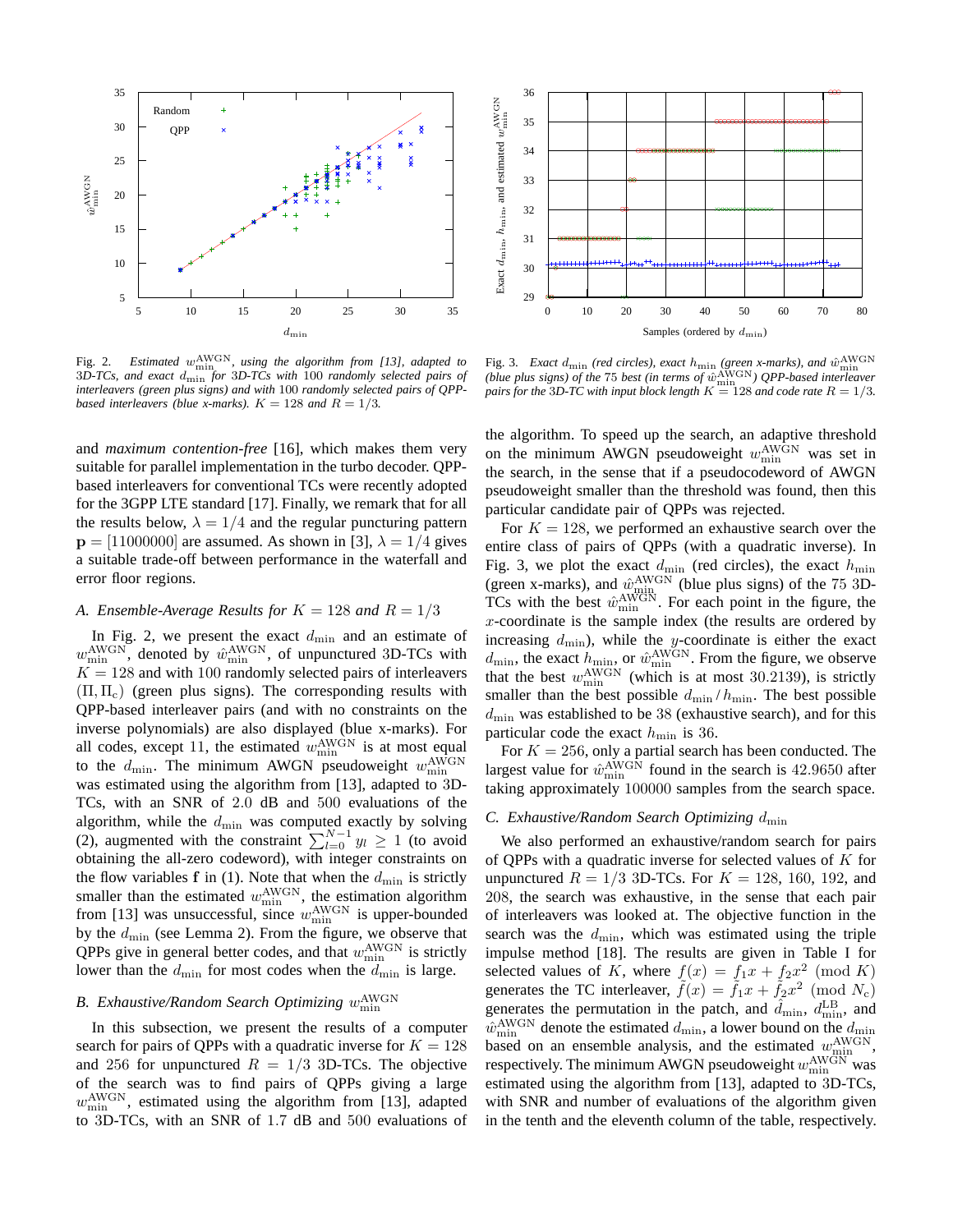

Fig. 2. Estimated  $w_{\min}^{\text{AWGN}}$ , using the algorithm from [13], adapted to 3*D-TCs, and exact* dmin *for* 3*D-TCs with* 100 *randomly selected pairs of interleavers (green plus signs) and with* 100 *randomly selected pairs of QPPbased interleavers (blue x-marks).*  $K = 128$  *and*  $R = 1/3$ .

and *maximum contention-free* [16], which makes them very suitable for parallel implementation in the turbo decoder. QPPbased interleavers for conventional TCs were recently adopted for the 3GPP LTE standard [17]. Finally, we remark that for all the results below,  $\lambda = 1/4$  and the regular puncturing pattern  $p = [11000000]$  are assumed. As shown in [3],  $\lambda = 1/4$  gives a suitable trade-off between performance in the waterfall and error floor regions.

#### A. Ensemble-Average Results for  $K = 128$  and  $R = 1/3$

In Fig. 2, we present the exact  $d_{\min}$  and an estimate of  $w_{\min}^{\text{AWGN}}$ , denoted by  $\hat{w}_{\min}^{\text{AWGN}}$ , of unpunctured 3D-TCs with  $K = 128$  and with 100 randomly selected pairs of interleavers  $(\Pi, \Pi_c)$  (green plus signs). The corresponding results with QPP-based interleaver pairs (and with no constraints on the inverse polynomials) are also displayed (blue x-marks). For all codes, except 11, the estimated  $w_{\min}^{\text{AWGN}}$  is at most equal to the  $d_{\text{min}}$ . The minimum AWGN pseudoweight  $w_{\text{min}}^{\text{AWGN}}$ was estimated using the algorithm from [13], adapted to 3D-TCs, with an SNR of 2.0 dB and 500 evaluations of the algorithm, while the  $d_{\min}$  was computed exactly by solving (2), augmented with the constraint  $\sum_{l=0}^{N-1} y_l \geq 1$  (to avoid obtaining the all-zero codeword), with integer constraints on the flow variables f in (1). Note that when the  $d_{\min}$  is strictly smaller than the estimated  $w_{\min}^{\text{AWGN}}$ , the estimation algorithm from [13] was unsuccessful, since  $w_{\min}^{\text{AWGN}}$  is upper-bounded by the  $d_{\min}$  (see Lemma 2). From the figure, we observe that QPPs give in general better codes, and that  $w_{\min}^{\text{AWGN}}$  is strictly lower than the  $d_{\min}$  for most codes when the  $d_{\min}$  is large.

## B. Exhaustive/Random Search Optimizing  $w_{\text{min}}^{\text{AWGN}}$

In this subsection, we present the results of a computer search for pairs of QPPs with a quadratic inverse for  $K = 128$ and 256 for unpunctured  $R = 1/3$  3D-TCs. The objective of the search was to find pairs of QPPs giving a large  $w_{\text{min}}^{\text{AWGN}}$ , estimated using the algorithm from [13], adapted to 3D-TCs, with an SNR of 1.7 dB and 500 evaluations of



Fig. 3. *Exact*  $d_{\text{min}}$  (red circles), exact  $h_{\text{min}}$  (green x-marks), and  $\hat{w}_{\text{min}}^{\text{AWGN}}$ *(blue plus signs) of the* 75 *best (in terms of*  $\hat{w}_{\text{min}}^{\text{AWGN}}$ ) QPP-based interleaver *pairs for the 3D-TC with input block length*  $K = 128$  *and code rate*  $R = 1/3$ *.* 

the algorithm. To speed up the search, an adaptive threshold on the minimum AWGN pseudoweight  $w_{\min}^{\text{AWGN}}$  was set in the search, in the sense that if a pseudocodeword of AWGN pseudoweight smaller than the threshold was found, then this particular candidate pair of QPPs was rejected.

For  $K = 128$ , we performed an exhaustive search over the entire class of pairs of QPPs (with a quadratic inverse). In Fig. 3, we plot the exact  $d_{\min}$  (red circles), the exact  $h_{\min}$ (green x-marks), and  $\hat{w}_{\text{min}}^{\text{AWGN}}$  (blue plus signs) of the 75 3D-TCs with the best  $\hat{w}_{\min}^{\text{AWGN}}$ . For each point in the figure, the  $x$ -coordinate is the sample index (the results are ordered by increasing  $d_{\min}$ ), while the y-coordinate is either the exact  $d_{\min}$ , the exact  $h_{\min}$  or  $\hat{w}_{\min}^{\text{AWGN}}$ . From the figure, we observe that the best  $w_{\min}^{\text{AWGN}}$  (which is at most 30.2139), is strictly smaller than the best possible  $d_{\min}/h_{\min}$ . The best possible  $d_{\text{min}}$  was established to be 38 (exhaustive search), and for this particular code the exact  $h_{\text{min}}$  is 36.

For  $K = 256$ , only a partial search has been conducted. The largest value for  $\hat{w}_{\text{min}}^{\text{AWGN}}$  found in the search is 42.9650 after taking approximately 100000 samples from the search space.

#### *C. Exhaustive/Random Search Optimizing*  $d_{\text{min}}$

We also performed an exhaustive/random search for pairs of QPPs with a quadratic inverse for selected values of  $K$  for unpunctured  $R = 1/3$  3D-TCs. For  $K = 128, 160, 192,$  and 208, the search was exhaustive, in the sense that each pair of interleavers was looked at. The objective function in the search was the  $d_{\text{min}}$ , which was estimated using the triple impulse method [18]. The results are given in Table I for selected values of K, where  $f(x) = f_1x + f_2x^2 \pmod{K}$ generates the TC interleaver,  $\tilde{f}(x) = \tilde{f}_1 x + \tilde{f}_2 x^2 \pmod{N_c}$ generates the permutation in the patch, and  $\hat{d}_{\text{min}}$ ,  $\hat{d}_{\text{min}}^{\text{LB}}$ , and  $\hat{w}_{\text{min}}^{\text{AWGN}}$  denote the estimated  $d_{\text{min}}$ , a lower bound on the  $d_{\text{min}}$ based on an ensemble analysis, and the estimated  $w_{\text{min}}^{\text{AWGN}}$ , respectively. The minimum AWGN pseudoweight  $w_{\min}^{\text{AWGN}}$  was estimated using the algorithm from [13], adapted to 3D-TCs, with SNR and number of evaluations of the algorithm given in the tenth and the eleventh column of the table, respectively.